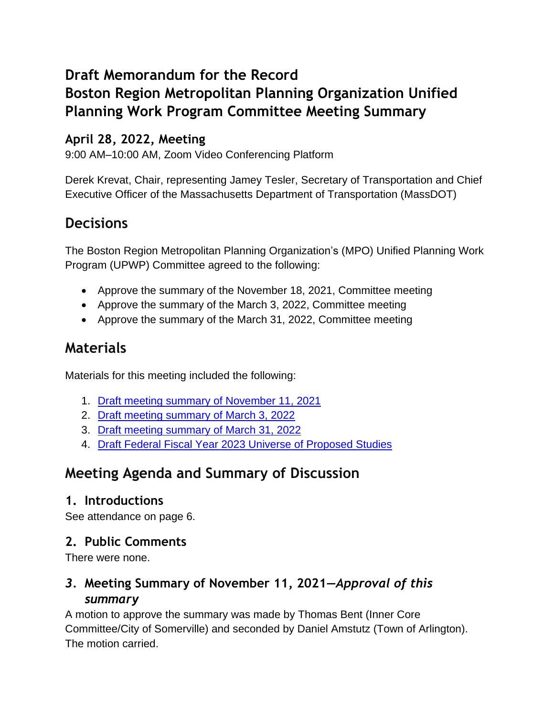# **Draft Memorandum for the Record Boston Region Metropolitan Planning Organization Unified Planning Work Program Committee Meeting Summary**

#### **April 28, 2022, Meeting**

9:00 AM–10:00 AM, Zoom Video Conferencing Platform

Derek Krevat, Chair, representing Jamey Tesler, Secretary of Transportation and Chief Executive Officer of the Massachusetts Department of Transportation (MassDOT)

# **Decisions**

The Boston Region Metropolitan Planning Organization's (MPO) Unified Planning Work Program (UPWP) Committee agreed to the following:

- Approve the summary of the November 18, 2021, Committee meeting
- Approve the summary of the March 3, 2022, Committee meeting
- Approve the summary of the March 31, 2022, Committee meeting

# **Materials**

Materials for this meeting included the following:

- 1. [Draft meeting summary of November 11, 2021](https://www.ctps.org/data/calendar/pdfs/2022/UPWP_0428_Meeting_Summary_1118.pdf)
- 2. [Draft meeting summary of March 3, 2022](https://www.ctps.org/data/calendar/pdfs/2022/UPWP_0428_Meeting_Summary_0303.pdf)
- 3. [Draft meeting summary of March 31, 2022](https://www.ctps.org/data/calendar/pdfs/2022/UPWP_0428_Meeting_Summary_0331.pdf)
- 4. [Draft Federal Fiscal Year 2023 Universe of Proposed Studies](https://www.ctps.org/data/calendar/pdfs/2022/UPWP_0428_Draft_FFY23_Universe_of_Proposed_Studies.pdf)

# **Meeting Agenda and Summary of Discussion**

#### **1. Introductions**

See attendance on page 6.

#### **2. Public Comments**

There were none.

#### *3.* **Meeting Summary of November 11, 2021—***Approval of this summary*

A motion to approve the summary was made by Thomas Bent (Inner Core Committee/City of Somerville) and seconded by Daniel Amstutz (Town of Arlington). The motion carried.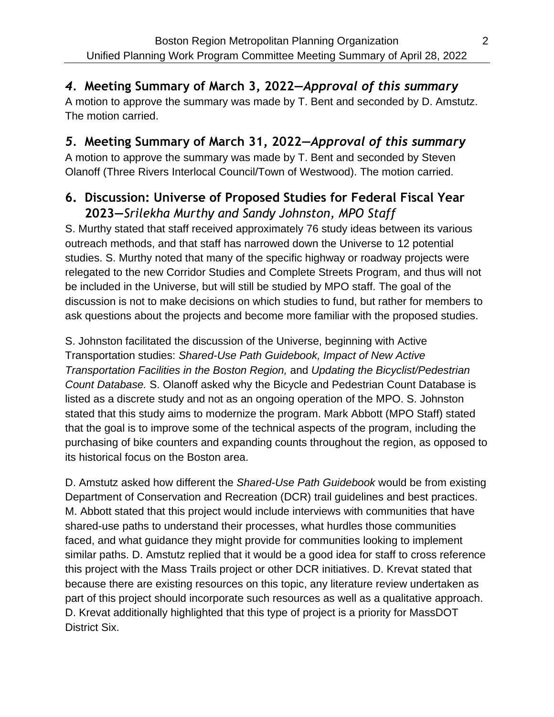## *4.* **Meeting Summary of March 3, 2022—***Approval of this summary*

A motion to approve the summary was made by T. Bent and seconded by D. Amstutz. The motion carried.

### *5.* **Meeting Summary of March 31, 2022—***Approval of this summary*

A motion to approve the summary was made by T. Bent and seconded by Steven Olanoff (Three Rivers Interlocal Council/Town of Westwood). The motion carried.

## **6. Discussion: Universe of Proposed Studies for Federal Fiscal Year 2023—***Srilekha Murthy and Sandy Johnston, MPO Staff*

S. Murthy stated that staff received approximately 76 study ideas between its various outreach methods, and that staff has narrowed down the Universe to 12 potential studies. S. Murthy noted that many of the specific highway or roadway projects were relegated to the new Corridor Studies and Complete Streets Program, and thus will not be included in the Universe, but will still be studied by MPO staff. The goal of the discussion is not to make decisions on which studies to fund, but rather for members to ask questions about the projects and become more familiar with the proposed studies.

S. Johnston facilitated the discussion of the Universe, beginning with Active Transportation studies: *Shared-Use Path Guidebook, Impact of New Active Transportation Facilities in the Boston Region,* and *Updating the Bicyclist/Pedestrian Count Database.* S. Olanoff asked why the Bicycle and Pedestrian Count Database is listed as a discrete study and not as an ongoing operation of the MPO. S. Johnston stated that this study aims to modernize the program. Mark Abbott (MPO Staff) stated that the goal is to improve some of the technical aspects of the program, including the purchasing of bike counters and expanding counts throughout the region, as opposed to its historical focus on the Boston area.

D. Amstutz asked how different the *Shared-Use Path Guidebook* would be from existing Department of Conservation and Recreation (DCR) trail guidelines and best practices. M. Abbott stated that this project would include interviews with communities that have shared-use paths to understand their processes, what hurdles those communities faced, and what guidance they might provide for communities looking to implement similar paths. D. Amstutz replied that it would be a good idea for staff to cross reference this project with the Mass Trails project or other DCR initiatives. D. Krevat stated that because there are existing resources on this topic, any literature review undertaken as part of this project should incorporate such resources as well as a qualitative approach. D. Krevat additionally highlighted that this type of project is a priority for MassDOT District Six.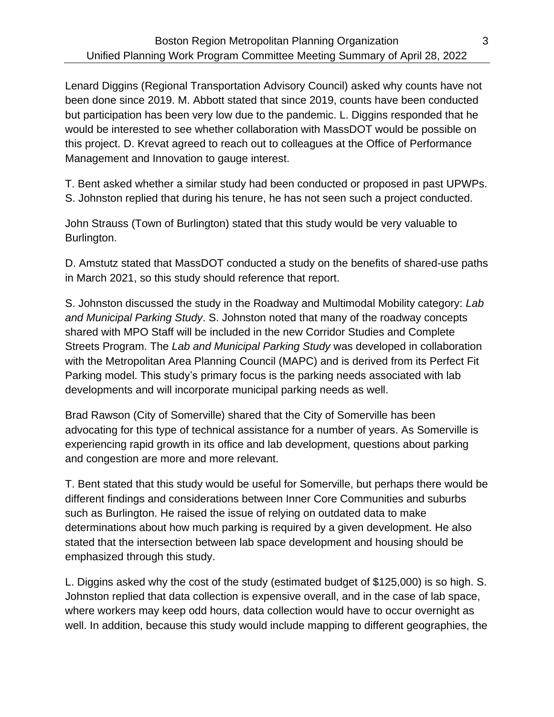Lenard Diggins (Regional Transportation Advisory Council) asked why counts have not been done since 2019. M. Abbott stated that since 2019, counts have been conducted but participation has been very low due to the pandemic. L. Diggins responded that he would be interested to see whether collaboration with MassDOT would be possible on this project. D. Krevat agreed to reach out to colleagues at the Office of Performance Management and Innovation to gauge interest.

T. Bent asked whether a similar study had been conducted or proposed in past UPWPs. S. Johnston replied that during his tenure, he has not seen such a project conducted.

John Strauss (Town of Burlington) stated that this study would be very valuable to Burlington.

D. Amstutz stated that MassDOT conducted a study on the benefits of shared-use paths in March 2021, so this study should reference that report.

S. Johnston discussed the study in the Roadway and Multimodal Mobility category: *Lab and Municipal Parking Study*. S. Johnston noted that many of the roadway concepts shared with MPO Staff will be included in the new Corridor Studies and Complete Streets Program. The *Lab and Municipal Parking Study* was developed in collaboration with the Metropolitan Area Planning Council (MAPC) and is derived from its Perfect Fit Parking model. This study's primary focus is the parking needs associated with lab developments and will incorporate municipal parking needs as well.

Brad Rawson (City of Somerville) shared that the City of Somerville has been advocating for this type of technical assistance for a number of years. As Somerville is experiencing rapid growth in its office and lab development, questions about parking and congestion are more and more relevant.

T. Bent stated that this study would be useful for Somerville, but perhaps there would be different findings and considerations between Inner Core Communities and suburbs such as Burlington. He raised the issue of relying on outdated data to make determinations about how much parking is required by a given development. He also stated that the intersection between lab space development and housing should be emphasized through this study.

L. Diggins asked why the cost of the study (estimated budget of \$125,000) is so high. S. Johnston replied that data collection is expensive overall, and in the case of lab space, where workers may keep odd hours, data collection would have to occur overnight as well. In addition, because this study would include mapping to different geographies, the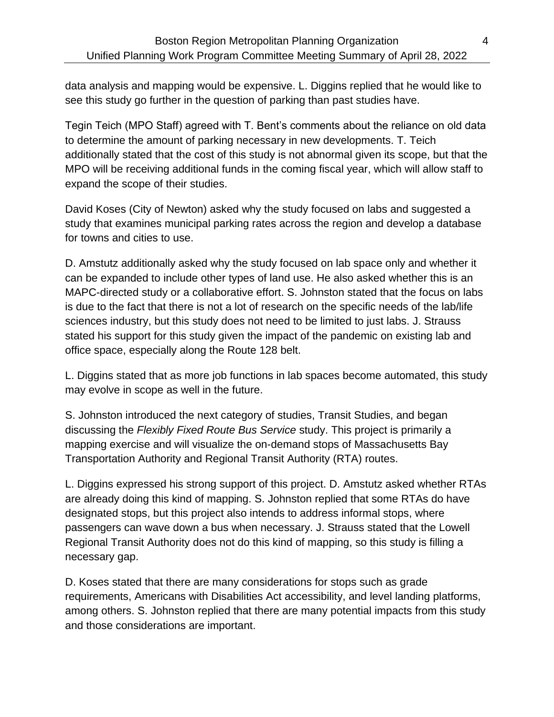data analysis and mapping would be expensive. L. Diggins replied that he would like to see this study go further in the question of parking than past studies have.

Tegin Teich (MPO Staff) agreed with T. Bent's comments about the reliance on old data to determine the amount of parking necessary in new developments. T. Teich additionally stated that the cost of this study is not abnormal given its scope, but that the MPO will be receiving additional funds in the coming fiscal year, which will allow staff to expand the scope of their studies.

David Koses (City of Newton) asked why the study focused on labs and suggested a study that examines municipal parking rates across the region and develop a database for towns and cities to use.

D. Amstutz additionally asked why the study focused on lab space only and whether it can be expanded to include other types of land use. He also asked whether this is an MAPC-directed study or a collaborative effort. S. Johnston stated that the focus on labs is due to the fact that there is not a lot of research on the specific needs of the lab/life sciences industry, but this study does not need to be limited to just labs. J. Strauss stated his support for this study given the impact of the pandemic on existing lab and office space, especially along the Route 128 belt.

L. Diggins stated that as more job functions in lab spaces become automated, this study may evolve in scope as well in the future.

S. Johnston introduced the next category of studies, Transit Studies, and began discussing the *Flexibly Fixed Route Bus Service* study. This project is primarily a mapping exercise and will visualize the on-demand stops of Massachusetts Bay Transportation Authority and Regional Transit Authority (RTA) routes.

L. Diggins expressed his strong support of this project. D. Amstutz asked whether RTAs are already doing this kind of mapping. S. Johnston replied that some RTAs do have designated stops, but this project also intends to address informal stops, where passengers can wave down a bus when necessary. J. Strauss stated that the Lowell Regional Transit Authority does not do this kind of mapping, so this study is filling a necessary gap.

D. Koses stated that there are many considerations for stops such as grade requirements, Americans with Disabilities Act accessibility, and level landing platforms, among others. S. Johnston replied that there are many potential impacts from this study and those considerations are important.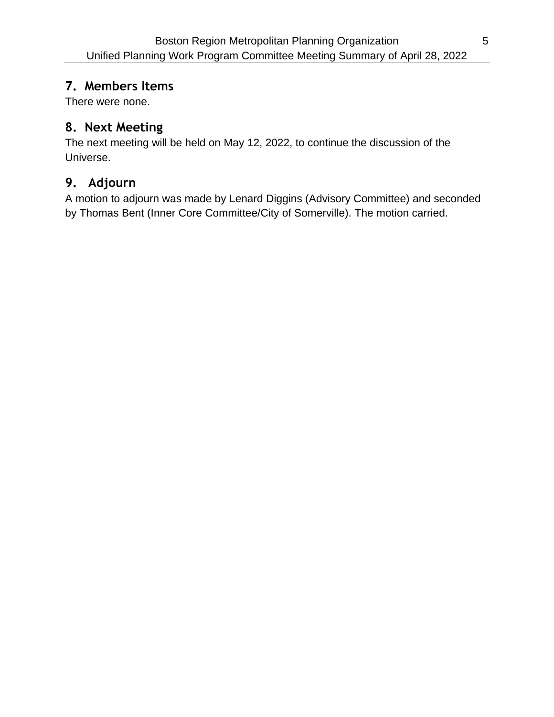#### **7. Members Items**

There were none.

#### **8. Next Meeting**

The next meeting will be held on May 12, 2022, to continue the discussion of the Universe.

#### **9. Adjourn**

A motion to adjourn was made by Lenard Diggins (Advisory Committee) and seconded by Thomas Bent (Inner Core Committee/City of Somerville). The motion carried.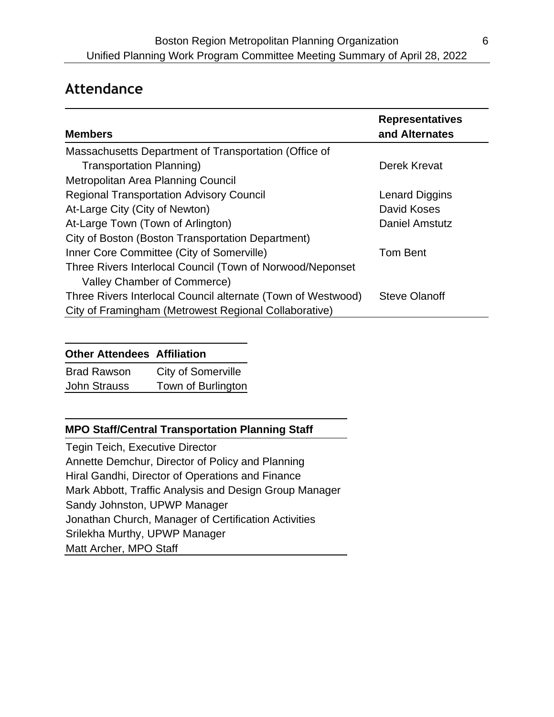## **Attendance**

| <b>Members</b>                                               | <b>Representatives</b><br>and Alternates |
|--------------------------------------------------------------|------------------------------------------|
| Massachusetts Department of Transportation (Office of        |                                          |
| <b>Transportation Planning)</b>                              | Derek Krevat                             |
| Metropolitan Area Planning Council                           |                                          |
| <b>Regional Transportation Advisory Council</b>              | <b>Lenard Diggins</b>                    |
| At-Large City (City of Newton)                               | David Koses                              |
| At-Large Town (Town of Arlington)                            | <b>Daniel Amstutz</b>                    |
| City of Boston (Boston Transportation Department)            |                                          |
| Inner Core Committee (City of Somerville)                    | <b>Tom Bent</b>                          |
| Three Rivers Interlocal Council (Town of Norwood/Neponset    |                                          |
| Valley Chamber of Commerce)                                  |                                          |
| Three Rivers Interlocal Council alternate (Town of Westwood) | <b>Steve Olanoff</b>                     |
| City of Framingham (Metrowest Regional Collaborative)        |                                          |

#### **Other Attendees Affiliation**

| <b>Brad Rawson</b>  | City of Somerville |
|---------------------|--------------------|
| <b>John Strauss</b> | Town of Burlington |

#### **MPO Staff/Central Transportation Planning Staff**

Tegin Teich, Executive Director Annette Demchur, Director of Policy and Planning Hiral Gandhi, Director of Operations and Finance Mark Abbott, Traffic Analysis and Design Group Manager Sandy Johnston, UPWP Manager Jonathan Church, Manager of Certification Activities Srilekha Murthy, UPWP Manager Matt Archer, MPO Staff